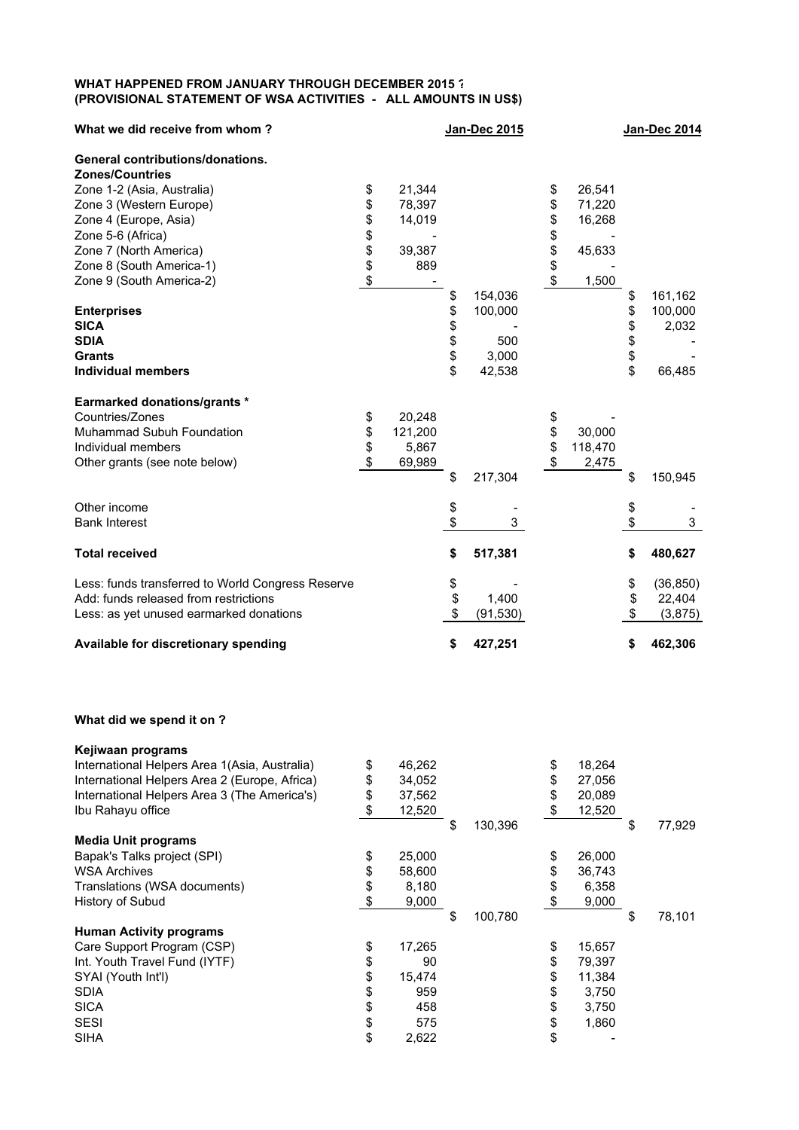## **WHAT HAPPENED FROM JANUARY THROUGH DECEMBER 2015 ? (PROVISIONAL STATEMENT OF WSA ACTIVITIES - ALL AMOUNTS IN US\$)**

| What we did receive from whom?                    |    |         |                 | <b>Jan-Dec 2014</b> |         |    |           |
|---------------------------------------------------|----|---------|-----------------|---------------------|---------|----|-----------|
| General contributions/donations.                  |    |         |                 |                     |         |    |           |
| <b>Zones/Countries</b>                            |    |         |                 |                     |         |    |           |
| Zone 1-2 (Asia, Australia)                        | \$ | 21,344  |                 | \$                  | 26,541  |    |           |
| Zone 3 (Western Europe)                           | \$ | 78,397  |                 | \$                  | 71,220  |    |           |
| Zone 4 (Europe, Asia)                             | \$ | 14,019  |                 | \$                  | 16,268  |    |           |
| Zone 5-6 (Africa)                                 | \$ |         |                 | \$                  |         |    |           |
| Zone 7 (North America)                            | \$ | 39,387  |                 | \$                  | 45,633  |    |           |
| Zone 8 (South America-1)                          | \$ | 889     |                 | \$                  |         |    |           |
| Zone 9 (South America-2)                          | \$ |         |                 | \$                  | 1,500   |    |           |
|                                                   |    |         | \$<br>154,036   |                     |         | \$ | 161,162   |
| <b>Enterprises</b>                                |    |         | \$<br>100,000   |                     |         | \$ | 100,000   |
| <b>SICA</b>                                       |    |         | \$              |                     |         | \$ | 2,032     |
| <b>SDIA</b>                                       |    |         | \$<br>500       |                     |         | \$ |           |
| Grants                                            |    |         | \$<br>3,000     |                     |         | \$ |           |
| <b>Individual members</b>                         |    |         | \$<br>42,538    |                     |         | \$ | 66,485    |
|                                                   |    |         |                 |                     |         |    |           |
| <b>Earmarked donations/grants *</b>               |    |         |                 |                     |         |    |           |
| Countries/Zones                                   | \$ | 20,248  |                 | \$                  |         |    |           |
| Muhammad Subuh Foundation                         | \$ | 121,200 |                 | \$                  | 30,000  |    |           |
|                                                   |    |         |                 |                     |         |    |           |
| Individual members                                | \$ | 5,867   |                 | \$                  | 118,470 |    |           |
| Other grants (see note below)                     | \$ | 69,989  |                 | \$                  | 2,475   |    |           |
|                                                   |    |         | \$<br>217,304   |                     |         | \$ | 150,945   |
| Other income                                      |    |         | \$              |                     |         | \$ |           |
| <b>Bank Interest</b>                              |    |         | \$<br>3         |                     |         | \$ | 3         |
| <b>Total received</b>                             |    |         | \$<br>517,381   |                     |         | \$ | 480,627   |
| Less: funds transferred to World Congress Reserve |    |         | \$              |                     |         | \$ | (36, 850) |
| Add: funds released from restrictions             |    |         | \$<br>1,400     |                     |         | \$ | 22,404    |
| Less: as yet unused earmarked donations           |    |         | \$<br>(91, 530) |                     |         | \$ | (3,875)   |
|                                                   |    |         |                 |                     |         |    |           |
| Available for discretionary spending              |    |         | \$<br>427,251   |                     |         | \$ | 462,306   |
| What did we spend it on ?                         |    |         |                 |                     |         |    |           |
| Kejiwaan programs                                 |    |         |                 |                     |         |    |           |

| \$<br>46,262 |               | \$ | 18,264 |              |
|--------------|---------------|----|--------|--------------|
| \$<br>34,052 |               | S  | 27,056 |              |
| \$<br>37,562 |               |    | 20,089 |              |
| \$<br>12,520 |               | \$ | 12,520 |              |
|              | \$<br>130,396 |    |        | \$<br>77,929 |
|              |               |    |        |              |
| \$<br>25,000 |               |    | 26,000 |              |
| 58,600       |               |    | 36,743 |              |
| 8,180        |               |    | 6,358  |              |
| 9,000        |               | \$ | 9,000  |              |
|              | \$<br>100,780 |    |        | \$<br>78,101 |
|              |               |    |        |              |
| \$<br>17,265 |               | \$ | 15,657 |              |
| 90           |               |    | 79,397 |              |
| 15,474       |               |    | 11,384 |              |
| 959          |               | S  | 3,750  |              |
| 458          |               | \$ | 3,750  |              |
| 575          |               | \$ | 1,860  |              |
| \$<br>2,622  |               | \$ |        |              |
|              |               |    |        |              |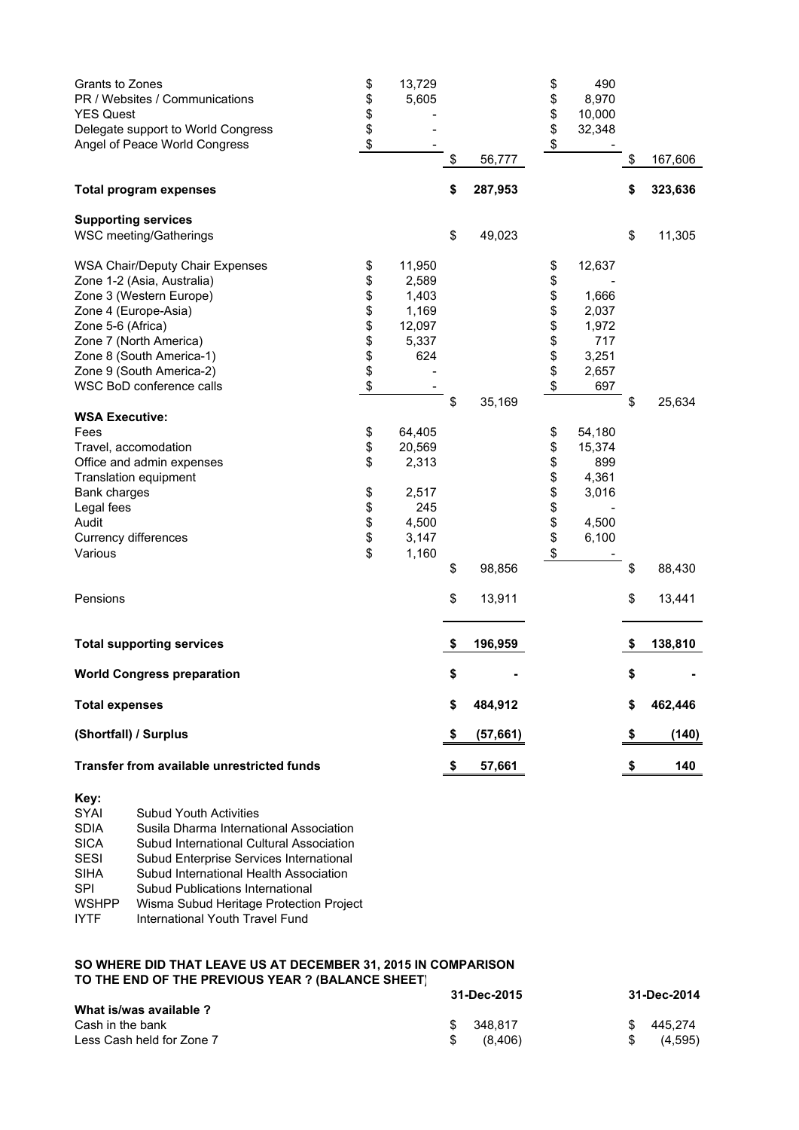| Grants to Zones<br>PR / Websites / Communications | \$<br>\$ | 13,729<br>5,605 |                 | \$<br>\$ | 490<br>8,970 |    |         |
|---------------------------------------------------|----------|-----------------|-----------------|----------|--------------|----|---------|
| <b>YES Quest</b>                                  | \$       |                 |                 | \$       | 10,000       |    |         |
| Delegate support to World Congress                | \$       |                 |                 | \$       | 32,348       |    |         |
| Angel of Peace World Congress                     | \$       |                 |                 | \$       |              |    |         |
|                                                   |          |                 | \$<br>56,777    |          |              | \$ | 167,606 |
| <b>Total program expenses</b>                     |          |                 | \$<br>287,953   |          |              | \$ | 323,636 |
| <b>Supporting services</b>                        |          |                 |                 |          |              |    |         |
| WSC meeting/Gatherings                            |          |                 | \$<br>49,023    |          |              | \$ | 11,305  |
| WSA Chair/Deputy Chair Expenses                   | \$       | 11,950          |                 | \$       | 12,637       |    |         |
| Zone 1-2 (Asia, Australia)                        | \$       | 2,589           |                 | \$       |              |    |         |
| Zone 3 (Western Europe)                           | \$       | 1,403           |                 | \$       | 1,666        |    |         |
| Zone 4 (Europe-Asia)                              | \$       | 1,169           |                 | \$       | 2,037        |    |         |
| Zone 5-6 (Africa)                                 | \$       | 12,097          |                 | \$       | 1,972        |    |         |
| Zone 7 (North America)                            | \$       | 5,337           |                 | \$       | 717          |    |         |
| Zone 8 (South America-1)                          |          | 624             |                 |          | 3,251        |    |         |
| Zone 9 (South America-2)                          | \$<br>\$ |                 |                 | \$       | 2,657        |    |         |
| WSC BoD conference calls                          | \$       |                 |                 | \$       | 697          |    |         |
|                                                   |          |                 | \$<br>35,169    |          |              | \$ | 25,634  |
| <b>WSA Executive:</b>                             |          |                 |                 |          |              |    |         |
| Fees                                              | \$       | 64,405          |                 | \$       | 54,180       |    |         |
| Travel, accomodation                              | \$       | 20,569          |                 | \$       | 15,374       |    |         |
| Office and admin expenses                         | \$       | 2,313           |                 | \$       | 899          |    |         |
| Translation equipment                             |          |                 |                 | \$       | 4,361        |    |         |
| <b>Bank charges</b>                               | \$       | 2,517           |                 | \$       | 3,016        |    |         |
| Legal fees                                        | \$       | 245             |                 | \$       |              |    |         |
| Audit                                             | \$       | 4,500           |                 | \$       | 4,500        |    |         |
| Currency differences                              | \$       | 3,147           |                 | \$       | 6,100        |    |         |
| Various                                           | \$       | 1,160           |                 | \$       |              |    |         |
|                                                   |          |                 | \$<br>98,856    |          |              | \$ | 88,430  |
| Pensions                                          |          |                 | \$<br>13,911    |          |              | \$ | 13,441  |
| <b>Total supporting services</b>                  |          |                 | \$<br>196,959   |          |              | \$ | 138,810 |
| <b>World Congress preparation</b>                 |          |                 | \$              |          |              | \$ |         |
| <b>Total expenses</b>                             |          |                 | \$<br>484,912   |          |              | S  | 462,446 |
| (Shortfall) / Surplus                             |          |                 | \$<br>(57, 661) |          |              | \$ | (140)   |
| Transfer from available unrestricted funds        |          |                 | \$<br>57,661    |          |              | \$ | 140     |
| Key:                                              |          |                 |                 |          |              |    |         |

| <b>SYAI</b>  | <b>Subud Youth Activities</b>            |
|--------------|------------------------------------------|
| <b>SDIA</b>  | Susila Dharma International Association  |
| <b>SICA</b>  | Subud International Cultural Association |
| <b>SESI</b>  | Subud Enterprise Services International  |
| <b>SIHA</b>  | Subud International Health Association   |
| <b>SPI</b>   | <b>Subud Publications International</b>  |
| <b>WSHPP</b> | Wisma Subud Heritage Protection Project  |
| <b>IYTF</b>  | International Youth Travel Fund          |
|              |                                          |

## **SO WHERE DID THAT LEAVE US AT DECEMBER 31, 2015 IN COMPARISON TO THE END OF THE PREVIOUS YEAR ? (BALANCE SHEET)**

|                           | 31-Dec-2015   | 31-Dec-2014  |  |  |
|---------------------------|---------------|--------------|--|--|
| What is/was available ?   |               |              |  |  |
| Cash in the bank          | \$ 348.817    | 445.274<br>S |  |  |
| Less Cash held for Zone 7 | (8.406)<br>S. | (4,595)      |  |  |